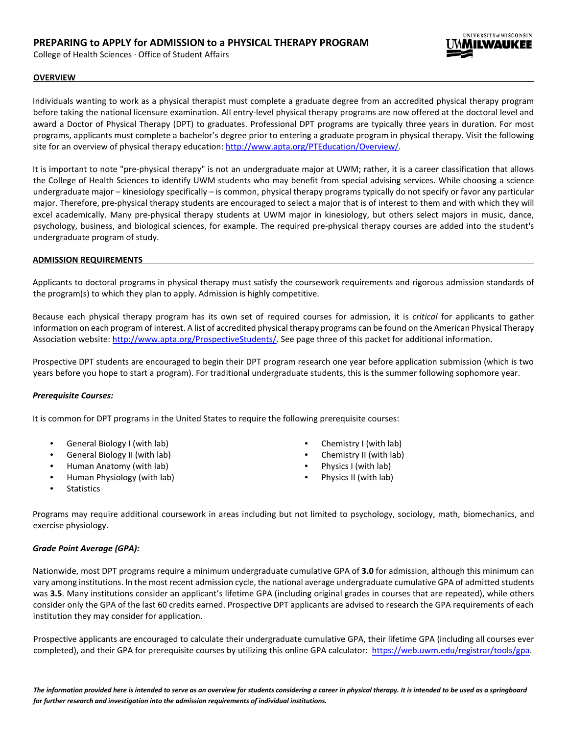# **PREPARING to APPLY for ADMISSION to a PHYSICAL THERAPY PROGRAM**

College of Health Sciences · Office of Student Affairs



# **OVERVIEW**

Individuals wanting to work as a physical therapist must complete a graduate degree from an accredited physical therapy program before taking the national licensure examination. All entry-level physical therapy programs are now offered at the doctoral level and award a Doctor of Physical Therapy (DPT) to graduates. Professional DPT programs are typically three years in duration. For most programs, applicants must complete a bachelor's degree prior to entering a graduate program in physical therapy. Visit the following site for an overview of physical therapy educatio[n: http://www.apta.org/PTEducation/Overview/.](http://www.apta.org/PTEducation/Overview/)

It is important to note "pre-physical therapy" is not an undergraduate major at UWM; rather, it is a career classification that allows the College of Health Sciences to identify UWM students who may benefit from special advising services. While choosing a science undergraduate major – kinesiology specifically – is common, physical therapy programs typically do not specify or favor any particular major. Therefore, pre-physical therapy students are encouraged to select a major that is of interest to them and with which they will excel academically. Many pre-physical therapy students at UWM major in kinesiology, but others select majors in music, dance, psychology, business, and biological sciences, for example. The required pre-physical therapy courses are added into the student's undergraduate program of study.

#### **ADMISSION REQUIREMENTS**

Applicants to doctoral programs in physical therapy must satisfy the coursework requirements and rigorous admission standards of the program(s) to which they plan to apply. Admission is highly competitive.

Because each physical therapy program has its own set of required courses for admission, it is *critical* for applicants to gather information on each program of interest. A list of accredited physical therapy programs can be found on the American Physical Therapy Association website: [http://www.apta.org/ProspectiveStudents/.](http://www.apta.org/ProspectiveStudents/) See page three of this packet for additional information.

Prospective DPT students are encouraged to begin their DPT program research one year before application submission (which is two years before you hope to start a program). For traditional undergraduate students, this is the summer following sophomore year.

# *Prerequisite Courses:*

It is common for DPT programs in the United States to require the following prerequisite courses:

- General Biology I (with lab)
- General Biology II (with lab)
- Human Anatomy (with lab)
- Human Physiology (with lab)
- Chemistry I (with lab)
- Chemistry II (with lab)
- Physics I (with lab)
- Physics II (with lab)

**Statistics** 

Programs may require additional coursework in areas including but not limited to psychology, sociology, math, biomechanics, and exercise physiology.

# *Grade Point Average (GPA):*

Nationwide, most DPT programs require a minimum undergraduate cumulative GPA of **3.0** for admission, although this minimum can vary among institutions. In the most recent admission cycle, the national average undergraduate cumulative GPA of admitted students was **3.5**. Many institutions consider an applicant's lifetime GPA (including original grades in courses that are repeated), while others consider only the GPA of the last 60 credits earned. Prospective DPT applicants are advised to research the GPA requirements of each institution they may consider for application.

Prospective applicants are encouraged to calculate their undergraduate cumulative GPA, their lifetime GPA (including all courses ever completed), and their GPA for prerequisite courses by utilizing this online GPA calculator: [https://web.uwm.edu/registrar/tools/gpa.](https://web.uwm.edu/registrar/tools/gpa)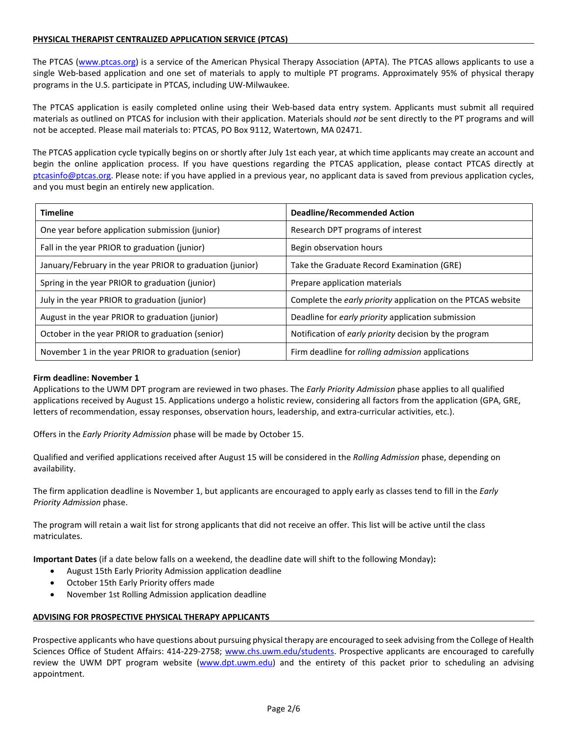# **PHYSICAL THERAPIST CENTRALIZED APPLICATION SERVICE (PTCAS)**

The PTCAS [\(www.ptcas.org\)](http://www.ptcas.org/) is a service of the American Physical Therapy Association (APTA). The PTCAS allows applicants to use a single Web-based application and one set of materials to apply to multiple PT programs. Approximately 95% of physical therapy programs in the U.S. participate in PTCAS, including UW-Milwaukee.

The PTCAS application is easily completed online using their Web-based data entry system. Applicants must submit all required materials as outlined on PTCAS for inclusion with their application. Materials should *not* be sent directly to the PT programs and will not be accepted. Please mail materials to: PTCAS, PO Box 9112, Watertown, MA 02471.

The PTCAS application cycle typically begins on or shortly after July 1st each year, at which time applicants may create an account and begin the online application process. If you have questions regarding the PTCAS application, please contact PTCAS directly at ptcasinfo@ptcas.org. Please note: if you have applied in a previous year, no applicant data is saved from previous application cycles, and you must begin an entirely new application.

| <b>Timeline</b>                                           | Deadline/Recommended Action                                  |
|-----------------------------------------------------------|--------------------------------------------------------------|
| One year before application submission (junior)           | Research DPT programs of interest                            |
| Fall in the year PRIOR to graduation (junior)             | Begin observation hours                                      |
| January/February in the year PRIOR to graduation (junior) | Take the Graduate Record Examination (GRE)                   |
| Spring in the year PRIOR to graduation (junior)           | Prepare application materials                                |
| July in the year PRIOR to graduation (junior)             | Complete the early priority application on the PTCAS website |
| August in the year PRIOR to graduation (junior)           | Deadline for early priority application submission           |
| October in the year PRIOR to graduation (senior)          | Notification of early priority decision by the program       |
| November 1 in the year PRIOR to graduation (senior)       | Firm deadline for <i>rolling admission</i> applications      |

### **Firm deadline: November 1**

Applications to the UWM DPT program are reviewed in two phases. The *Early Priority Admission* phase applies to all qualified applications received by August 15. Applications undergo a holistic review, considering all factors from the application (GPA, GRE, letters of recommendation, essay responses, observation hours, leadership, and extra-curricular activities, etc.).

Offers in the *Early Priority Admission* phase will be made by October 15.

Qualified and verified applications received after August 15 will be considered in the *Rolling Admission* phase, depending on availability.

The firm application deadline is November 1, but applicants are encouraged to apply early as classes tend to fill in the *Early Priority Admission* phase.

The program will retain a wait list for strong applicants that did not receive an offer. This list will be active until the class matriculates.

**Important Dates** (if a date below falls on a weekend, the deadline date will shift to the following Monday)**:** 

- August 15th Early Priority Admission application deadline
- October 15th Early Priority offers made
- November 1st Rolling Admission application deadline

#### **ADVISING FOR PROSPECTIVE PHYSICAL THERAPY APPLICANTS**

Prospective applicants who have questions about pursuing physical therapy are encouraged to seek advising from the College of Health Sciences Office of Student Affairs: 414-229-2758; [www.chs.uwm.edu/students.](http://www.chs.uwm.edu/students) Prospective applicants are encouraged to carefully review the UWM DPT program website [\(www.dpt.uwm.edu\)](http://www.dpt.uwm.edu/) and the entirety of this packet prior to scheduling an advising appointment.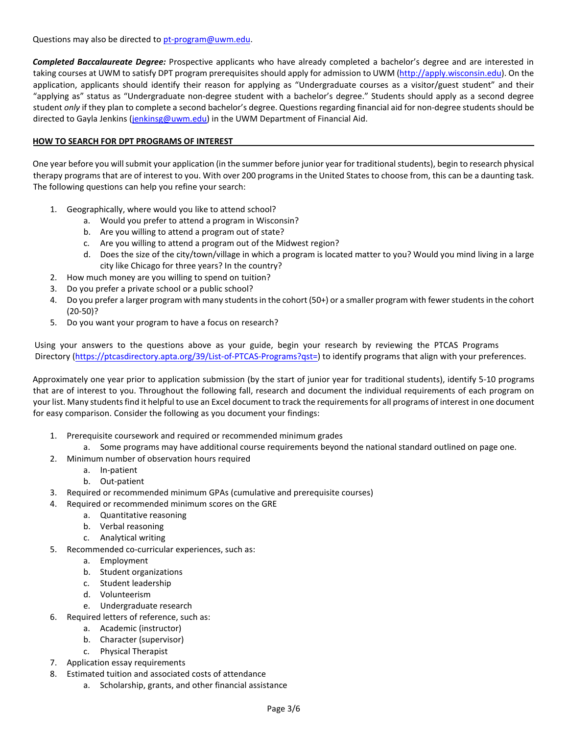Questions may also be directed to pt-program@uwm.edu.

*Completed Baccalaureate Degree:* Prospective applicants who have already completed a bachelor's degree and are interested in taking courses at UWM to satisfy DPT program prerequisites should apply for admission to UWM [\(http://apply.wisconsin.edu\).](http://apply.wisconsin.edu/) On the application, applicants should identify their reason for applying as "Undergraduate courses as a visitor/guest student" and their "applying as" status as "Undergraduate non-degree student with a bachelor's degree." Students should apply as a second degree student *only* if they plan to complete a second bachelor's degree. Questions regarding financial aid for non-degree students should be directed to Gayla Jenkins (jenkinsg@uwm.edu) in the UWM Department of Financial Aid.

# **HOW TO SEARCH FOR DPT PROGRAMS OF INTEREST**

One year before you will submit your application (in the summer before junior year for traditional students), begin to research physical therapy programs that are of interest to you. With over 200 programs in the United States to choose from, this can be a daunting task. The following questions can help you refine your search:

- 1. Geographically, where would you like to attend school?
	- a. Would you prefer to attend a program in Wisconsin?
	- b. Are you willing to attend a program out of state?
	- c. Are you willing to attend a program out of the Midwest region?
	- d. Does the size of the city/town/village in which a program is located matter to you? Would you mind living in a large city like Chicago for three years? In the country?
- 2. How much money are you willing to spend on tuition?
- 3. Do you prefer a private school or a public school?
- 4. Do you prefer a larger program with many students in the cohort (50+) or a smaller program with fewer students in the cohort (20-50)?
- 5. Do you want your program to have a focus on research?

Using your answers to the questions above as your guide, begin your research by reviewing the PTCAS Programs [D](http://www.ptcas.org/Directory/)irectory [\(https://ptcasdirectory.apta.org/39/List-of-PTCAS-Programs?qst=\)](https://ptcasdirectory.apta.org/39/List-of-PTCAS-Programs?qst=) to identify programs that align with your preferences.

Approximately one year prior to application submission (by the start of junior year for traditional students), identify 5-10 programs that are of interest to you. Throughout the following fall, research and document the individual requirements of each program on your list. Many students find it helpful to use an Excel document to track the requirements for all programs of interest in one document for easy comparison. Consider the following as you document your findings:

- 1. Prerequisite coursework and required or recommended minimum grades
	- a. Some programs may have additional course requirements beyond the national standard outlined on page one.
- 2. Minimum number of observation hours required
	- a. In-patient
		- b. Out-patient
- 3. Required or recommended minimum GPAs (cumulative and prerequisite courses)
- 4. Required or recommended minimum scores on the GRE
	- a. Quantitative reasoning
	- b. Verbal reasoning
	- c. Analytical writing
- 5. Recommended co-curricular experiences, such as:
	- a. Employment
	- b. Student organizations
	- c. Student leadership
	- d. Volunteerism
	- e. Undergraduate research
- 6. Required letters of reference, such as:
	- a. Academic (instructor)
	- b. Character (supervisor)
	- c. Physical Therapist
- 7. Application essay requirements
- 8. Estimated tuition and associated costs of attendance
	- a. Scholarship, grants, and other financial assistance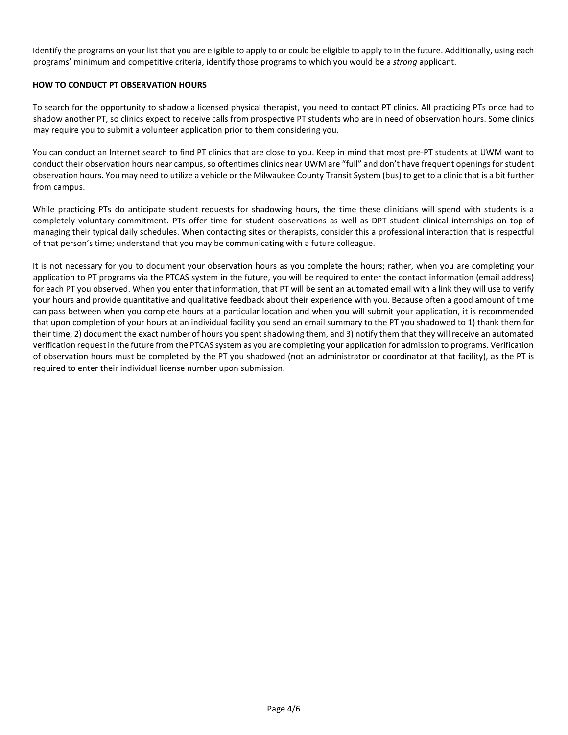Identify the programs on your list that you are eligible to apply to or could be eligible to apply to in the future. Additionally, using each programs' minimum and competitive criteria, identify those programs to which you would be a *strong* applicant.

# **HOW TO CONDUCT PT OBSERVATION HOURS**

To search for the opportunity to shadow a licensed physical therapist, you need to contact PT clinics. All practicing PTs once had to shadow another PT, so clinics expect to receive calls from prospective PT students who are in need of observation hours. Some clinics may require you to submit a volunteer application prior to them considering you.

You can conduct an Internet search to find PT clinics that are close to you. Keep in mind that most pre-PT students at UWM want to conduct their observation hours near campus, so oftentimes clinics near UWM are "full" and don't have frequent openings for student observation hours. You may need to utilize a vehicle or the Milwaukee County Transit System (bus) to get to a clinic that is a bit further from campus.

While practicing PTs do anticipate student requests for shadowing hours, the time these clinicians will spend with students is a completely voluntary commitment. PTs offer time for student observations as well as DPT student clinical internships on top of managing their typical daily schedules. When contacting sites or therapists, consider this a professional interaction that is respectful of that person's time; understand that you may be communicating with a future colleague.

It is not necessary for you to document your observation hours as you complete the hours; rather, when you are completing your application to PT programs via the PTCAS system in the future, you will be required to enter the contact information (email address) for each PT you observed. When you enter that information, that PT will be sent an automated email with a link they will use to verify your hours and provide quantitative and qualitative feedback about their experience with you. Because often a good amount of time can pass between when you complete hours at a particular location and when you will submit your application, it is recommended that upon completion of your hours at an individual facility you send an email summary to the PT you shadowed to 1) thank them for their time, 2) document the exact number of hours you spent shadowing them, and 3) notify them that they will receive an automated verification request in the future from the PTCAS system as you are completing your application for admission to programs. Verification of observation hours must be completed by the PT you shadowed (not an administrator or coordinator at that facility), as the PT is required to enter their individual license number upon submission.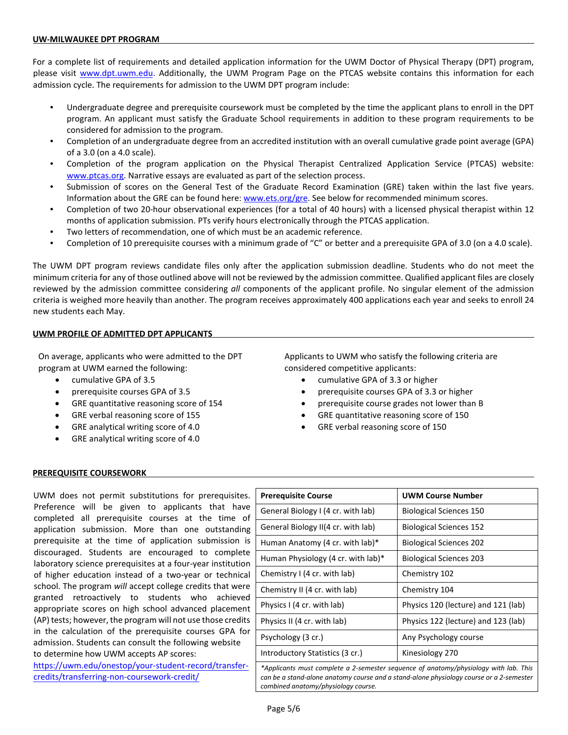#### **UW-MILWAUKEE DPT PROGRAM**

For a complete list of requirements and detailed application information for the UWM Doctor of Physical Therapy (DPT) program, please visit [www.dpt.uwm.edu.](http://www.dpt.uwm.edu/) Additionally, the UWM Program Page on the PTCAS website contains this information for each admission cycle. The requirements for admission to the UWM DPT program include:

- Undergraduate degree and prerequisite coursework must be completed by the time the applicant plans to enroll in the DPT program. An applicant must satisfy the Graduate School requirements in addition to these program requirements to be considered for admission to the program.
- Completion of an undergraduate degree from an accredited institution with an overall cumulative grade point average (GPA) of a 3.0 (on a 4.0 scale).
- Completion of the program application on the Physical Therapist Centralized Application Service (PTCAS) website: [www.ptcas.org.](http://www.ptcas.org/) Narrative essays are evaluated as part of the selection process.
- Submission of scores on the General Test of the Graduate Record Examination (GRE) taken within the last five years. Information about the GRE can be found here[: www.ets.org/gre.](http://www.ets.org/gre) See below for recommended minimum scores.
- Completion of two 20-hour observational experiences (for a total of 40 hours) with a licensed physical therapist within 12 months of application submission. PTs verify hours electronically through the PTCAS application.
- Two letters of recommendation, one of which must be an academic reference.
- Completion of 10 prerequisite courses with a minimum grade of "C" or better and a prerequisite GPA of 3.0 (on a 4.0 scale).

The UWM DPT program reviews candidate files only after the application submission deadline. Students who do not meet the minimum criteria for any of those outlined above will not be reviewed by the admission committee. Qualified applicant files are closely reviewed by the admission committee considering *all* components of the applicant profile. No singular element of the admission criteria is weighed more heavily than another. The program receives approximately 400 applications each year and seeks to enroll 24 new students each May.

#### **UWM PROFILE OF ADMITTED DPT APPLICANTS**

On average, applicants who were admitted to the DPT program at UWM earned the following:

- cumulative GPA of 3.5
- prerequisite courses GPA of 3.5
- GRE quantitative reasoning score of 154
- GRE verbal reasoning score of 155
- GRE analytical writing score of 4.0
- GRE analytical writing score of 4.0

Applicants to UWM who satisfy the following criteria are considered competitive applicants:

- cumulative GPA of 3.3 or higher
- prerequisite courses GPA of 3.3 or higher
- prerequisite course grades not lower than B
- GRE quantitative reasoning score of 150
- GRE verbal reasoning score of 150

#### **PREREQUISITE COURSEWORK**

UWM does not permit substitutions for prerequisites. Preference will be given to applicants that have completed all prerequisite courses at the time of application submission. More than one outstanding prerequisite at the time of application submission is discouraged. Students are encouraged to complete laboratory science prerequisites at a four-year institution of higher education instead of a two-year or technical school. The program *will* accept college credits that were granted retroactively to students who achieved appropriate scores on high school advanced placement (AP) tests; however, the program will not use those credits in the calculation of the prerequisite courses GPA for admission. Students can consult the following website to determine how UWM accepts AP scores:

[https://uwm.edu/onestop/your-student-record/transfer](https://uwm.edu/onestop/your-student-record/transfer-credits/transferring-non-coursework-credit/)credits/transferring-non-coursework-credit/

| <b>Prerequisite Course</b>                                                                                                                                                      | <b>UWM Course Number</b>            |
|---------------------------------------------------------------------------------------------------------------------------------------------------------------------------------|-------------------------------------|
| General Biology I (4 cr. with lab)                                                                                                                                              | <b>Biological Sciences 150</b>      |
| General Biology II(4 cr. with lab)                                                                                                                                              | <b>Biological Sciences 152</b>      |
| Human Anatomy (4 cr. with lab)*                                                                                                                                                 | <b>Biological Sciences 202</b>      |
| Human Physiology (4 cr. with lab)*                                                                                                                                              | <b>Biological Sciences 203</b>      |
| Chemistry I (4 cr. with lab)                                                                                                                                                    | Chemistry 102                       |
| Chemistry II (4 cr. with lab)                                                                                                                                                   | Chemistry 104                       |
| Physics I (4 cr. with lab)                                                                                                                                                      | Physics 120 (lecture) and 121 (lab) |
| Physics II (4 cr. with lab)                                                                                                                                                     | Physics 122 (lecture) and 123 (lab) |
| Psychology (3 cr.)                                                                                                                                                              | Any Psychology course               |
| Introductory Statistics (3 cr.)                                                                                                                                                 | Kinesiology 270                     |
| *Applicants must complete a 2-semester sequence of anatomy/physiology with lab. This<br>can be a stand-alone anatomy course and a stand-alone physiology course or a 2-semester |                                     |

*combined anatomy/physiology course.*